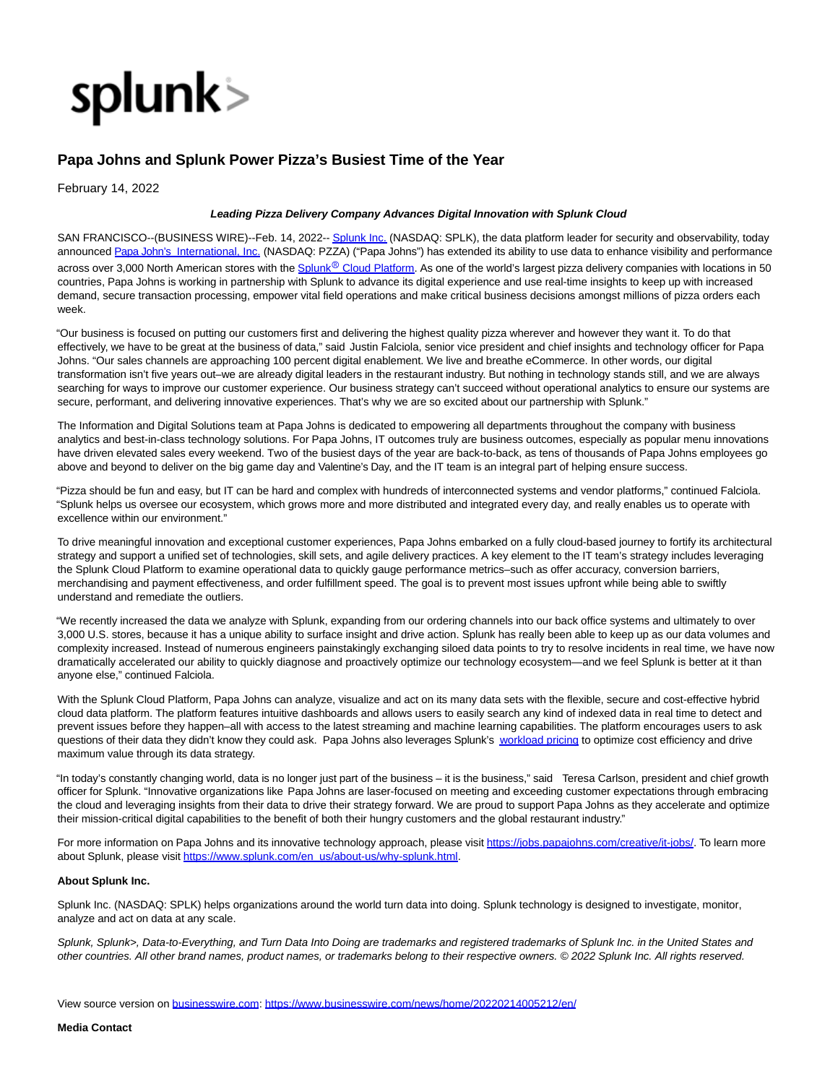

## **Papa Johns and Splunk Power Pizza's Busiest Time of the Year**

February 14, 2022

## **Leading Pizza Delivery Company Advances Digital Innovation with Splunk Cloud**

SAN FRANCISCO--(BUSINESS WIRE)--Feb. 14, 2022-[- Splunk Inc. \(](https://cts.businesswire.com/ct/CT?id=smartlink&url=http%3A%2F%2Fwww.splunk.com%2F&esheet=52578573&newsitemid=20220214005212&lan=en-US&anchor=Splunk+Inc.&index=1&md5=9c6eb85745c38250c5d41fd0732c0a18)NASDAQ: SPLK), the data platform leader for security and observability, today announced [Papa John's International, Inc. \(](https://cts.businesswire.com/ct/CT?id=smartlink&url=https%3A%2F%2Fwww.papajohns.com%2F&esheet=52578573&newsitemid=20220214005212&lan=en-US&anchor=Papa+John%26%238217%3Bs+International%2C+Inc.&index=2&md5=5925cb7a25f23ec6c166e7bae47fcc88)NASDAQ: PZZA) ("Papa Johns") has extended its ability to use data to enhance visibility and performance across over 3,000 North American stores with the Splunk<sup>®</sup> [Cloud Platform.](https://cts.businesswire.com/ct/CT?id=smartlink&url=https%3A%2F%2Fwww.splunk.com%2Fen_us%2Fsoftware%2Fsplunk-cloud-platform.html&esheet=52578573&newsitemid=20220214005212&lan=en-US&anchor=Splunk%26%239415%3B+Cloud+Platform&index=3&md5=f88f0461c1db374bda0550fb998e299c) As one of the world's largest pizza delivery companies with locations in 50 countries, Papa Johns is working in partnership with Splunk to advance its digital experience and use real-time insights to keep up with increased demand, secure transaction processing, empower vital field operations and make critical business decisions amongst millions of pizza orders each week.

"Our business is focused on putting our customers first and delivering the highest quality pizza wherever and however they want it. To do that effectively, we have to be great at the business of data," said Justin Falciola, senior vice president and chief insights and technology officer for Papa Johns. "Our sales channels are approaching 100 percent digital enablement. We live and breathe eCommerce. In other words, our digital transformation isn't five years out–we are already digital leaders in the restaurant industry. But nothing in technology stands still, and we are always searching for ways to improve our customer experience. Our business strategy can't succeed without operational analytics to ensure our systems are secure, performant, and delivering innovative experiences. That's why we are so excited about our partnership with Splunk."

The Information and Digital Solutions team at Papa Johns is dedicated to empowering all departments throughout the company with business analytics and best-in-class technology solutions. For Papa Johns, IT outcomes truly are business outcomes, especially as popular menu innovations have driven elevated sales every weekend. Two of the busiest days of the year are back-to-back, as tens of thousands of Papa Johns employees go above and beyond to deliver on the big game day and Valentine's Day, and the IT team is an integral part of helping ensure success.

"Pizza should be fun and easy, but IT can be hard and complex with hundreds of interconnected systems and vendor platforms," continued Falciola. "Splunk helps us oversee our ecosystem, which grows more and more distributed and integrated every day, and really enables us to operate with excellence within our environment."

To drive meaningful innovation and exceptional customer experiences, Papa Johns embarked on a fully cloud-based journey to fortify its architectural strategy and support a unified set of technologies, skill sets, and agile delivery practices. A key element to the IT team's strategy includes leveraging the Splunk Cloud Platform to examine operational data to quickly gauge performance metrics–such as offer accuracy, conversion barriers, merchandising and payment effectiveness, and order fulfillment speed. The goal is to prevent most issues upfront while being able to swiftly understand and remediate the outliers.

"We recently increased the data we analyze with Splunk, expanding from our ordering channels into our back office systems and ultimately to over 3,000 U.S. stores, because it has a unique ability to surface insight and drive action. Splunk has really been able to keep up as our data volumes and complexity increased. Instead of numerous engineers painstakingly exchanging siloed data points to try to resolve incidents in real time, we have now dramatically accelerated our ability to quickly diagnose and proactively optimize our technology ecosystem—and we feel Splunk is better at it than anyone else," continued Falciola.

With the Splunk Cloud Platform, Papa Johns can analyze, visualize and act on its many data sets with the flexible, secure and cost-effective hybrid cloud data platform. The platform features intuitive dashboards and allows users to easily search any kind of indexed data in real time to detect and prevent issues before they happen–all with access to the latest streaming and machine learning capabilities. The platform encourages users to ask questions of their data they didn't know they could ask. Papa Johns also leverages Splunk's [workload pricing t](https://cts.businesswire.com/ct/CT?id=smartlink&url=https%3A%2F%2Fwww.splunk.com%2Fen_us%2Fsoftware%2Fpricing%2Ffaqs.html%23workload-pricing&esheet=52578573&newsitemid=20220214005212&lan=en-US&anchor=workload+pricing&index=4&md5=9495b6bfdcda4c239162e29c3e609c5d)o optimize cost efficiency and drive maximum value through its data strategy.

"In today's constantly changing world, data is no longer just part of the business – it is the business," said Teresa Carlson, president and chief growth officer for Splunk. "Innovative organizations like Papa Johns are laser-focused on meeting and exceeding customer expectations through embracing the cloud and leveraging insights from their data to drive their strategy forward. We are proud to support Papa Johns as they accelerate and optimize their mission-critical digital capabilities to the benefit of both their hungry customers and the global restaurant industry."

For more information on Papa Johns and its innovative technology approach, please visit [https://jobs.papajohns.com/creative/it-jobs/.](https://cts.businesswire.com/ct/CT?id=smartlink&url=https%3A%2F%2Fjobs.papajohns.com%2Fcreative%2Fit-jobs%2F&esheet=52578573&newsitemid=20220214005212&lan=en-US&anchor=https%3A%2F%2Fjobs.papajohns.com%2Fcreative%2Fit-jobs%2F&index=5&md5=fc422359fccd58265e882cbcca352030) To learn more about Splunk, please visi[t https://www.splunk.com/en\\_us/about-us/why-splunk.html.](https://cts.businesswire.com/ct/CT?id=smartlink&url=https%3A%2F%2Fwww.splunk.com%2Fen_us%2Fabout-us%2Fwhy-splunk.html&esheet=52578573&newsitemid=20220214005212&lan=en-US&anchor=https%3A%2F%2Fwww.splunk.com%2Fen_us%2Fabout-us%2Fwhy-splunk.html&index=6&md5=e7a5a5076a967cc352dad87846d06eb5)

## **About Splunk Inc.**

Splunk Inc. (NASDAQ: SPLK) helps organizations around the world turn data into doing. Splunk technology is designed to investigate, monitor, analyze and act on data at any scale.

Splunk, Splunk>, Data-to-Everything, and Turn Data Into Doing are trademarks and registered trademarks of Splunk Inc. in the United States and other countries. All other brand names, product names, or trademarks belong to their respective owners. © 2022 Splunk Inc. All rights reserved.